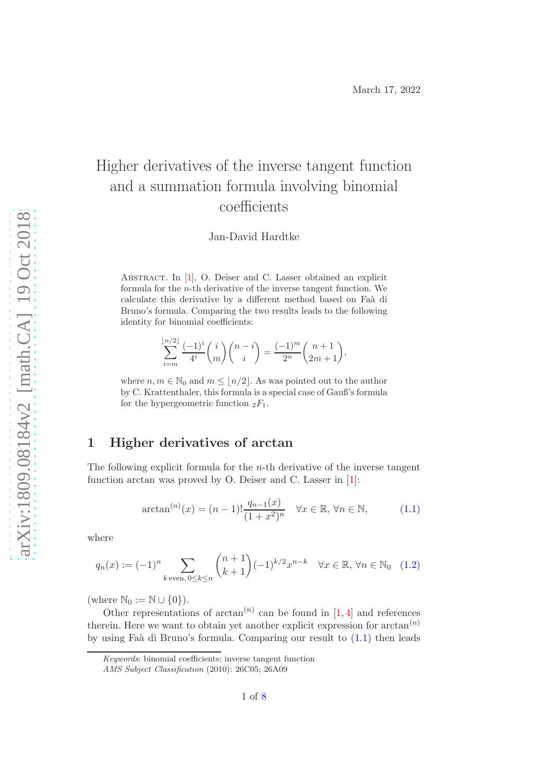# Higher derivatives of the inverse tangent function and a summation formula involving binomial coefficients

Jan-David Hardtke

ABSTRACT. In [\[1\]](#page-6-0), O. Deiser and C. Lasser obtained an explicit formula for the n-th derivative of the inverse tangent function. We calculate this derivative by a different method based on Faà di Bruno's formula. Comparing the two results leads to the following identity for binomial coefficients:

$$
\sum_{i=m}^{\lfloor n/2 \rfloor} \frac{(-1)^i}{4^i} {i \choose m} {n-i \choose i} = \frac{(-1)^m}{2^n} {n+1 \choose 2m+1},
$$

where  $n, m \in \mathbb{N}_0$  and  $m \leq \lfloor n/2 \rfloor$ . As was pointed out to the author by C. Krattenthaler, this formula is a special case of Gauß's formula for the hypergeometric function  ${}_2F_1$ .

### 1 Higher derivatives of arctan

 $n$ 

The following explicit formula for the  $n$ -th derivative of the inverse tangent function arctan was proved by O. Deiser and C. Lasser in [\[1\]](#page-6-0):

<span id="page-0-0"></span>
$$
\arctan^{(n)}(x) = (n-1)! \frac{q_{n-1}(x)}{(1+x^2)^n} \quad \forall x \in \mathbb{R}, \forall n \in \mathbb{N},
$$
\n(1.1)

where

<span id="page-0-1"></span>
$$
q_n(x) := (-1)^n \sum_{k \text{ even, } 0 \le k \le n} \binom{n+1}{k+1} (-1)^{k/2} x^{n-k} \quad \forall x \in \mathbb{R}, \forall n \in \mathbb{N}_0 \quad (1.2)
$$

(where  $\mathbb{N}_0 := \mathbb{N} \cup \{0\}$ ).

Other representations of  $arctan<sup>(n)</sup>$  can be found in [\[1,](#page-6-0)[4\]](#page-7-0) and references therein. Here we want to obtain yet another explicit expression for  $arctan^{(n)}$ by using Faà di Bruno's formula. Comparing our result to  $(1.1)$  then leads

Keywords: binomial coefficients; inverse tangent function

AMS Subject Classification (2010): 26C05; 26A09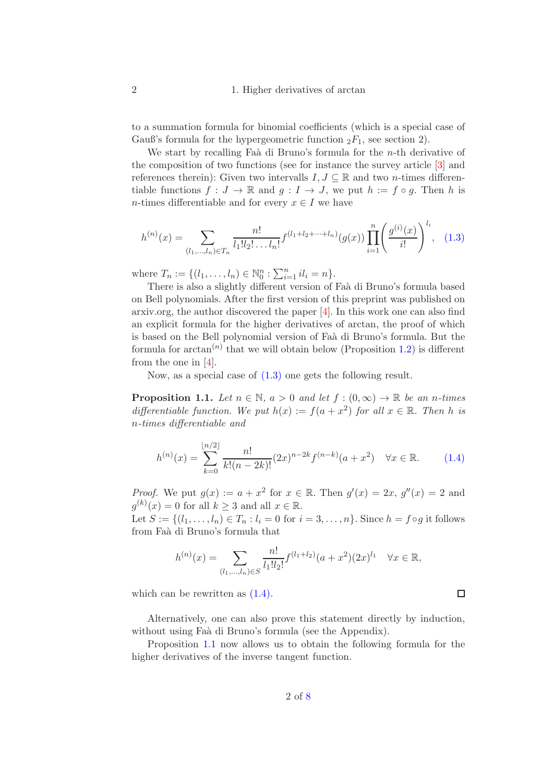### 2 1. Higher derivatives of arctan

to a summation formula for binomial coefficients (which is a special case of Gauß's formula for the hypergeometric function  ${}_2F_1$ , see section 2).

We start by recalling Faà di Bruno's formula for the  $n$ -th derivative of the composition of two functions (see for instance the survey article [\[3\]](#page-7-2) and references therein): Given two intervalls  $I, J \subseteq \mathbb{R}$  and two *n*-times differentiable functions  $f: J \to \mathbb{R}$  and  $q: I \to J$ , we put  $h := f \circ q$ . Then h is n-times differentiable and for every  $x \in I$  we have

<span id="page-1-0"></span>
$$
h^{(n)}(x) = \sum_{(l_1,\ldots,l_n)\in T_n} \frac{n!}{l_1!l_2!\ldots l_n!} f^{(l_1+l_2+\cdots+l_n)}(g(x)) \prod_{i=1}^n \left(\frac{g^{(i)}(x)}{i!}\right)^{l_i}, \quad (1.3)
$$

where  $T_n := \{(l_1, \ldots, l_n) \in \mathbb{N}_0^n : \sum_{i=1}^n i l_i = n\}.$ 

There is also a slightly different version of Faà di Bruno's formula based on Bell polynomials. After the first version of this preprint was published on arxiv.org, the author discovered the paper [\[4\]](#page-7-0). In this work one can also find an explicit formula for the higher derivatives of arctan, the proof of which is based on the Bell polynomial version of Faà di Bruno's formula. But the formula for  $arctan<sup>(n)</sup>$  that we will obtain below (Proposition [1.2\)](#page-2-0) is different from the one in [\[4\]](#page-7-0).

Now, as a special case of  $(1.3)$  one gets the following result.

<span id="page-1-2"></span>**Proposition 1.1.** Let  $n \in \mathbb{N}$ ,  $a > 0$  and let  $f : (0, \infty) \to \mathbb{R}$  be an n-times differentiable function. We put  $h(x) := f(a + x^2)$  for all  $x \in \mathbb{R}$ . Then h is n-times differentiable and

<span id="page-1-1"></span>
$$
h^{(n)}(x) = \sum_{k=0}^{\lfloor n/2 \rfloor} \frac{n!}{k!(n-2k)!} (2x)^{n-2k} f^{(n-k)}(a+x^2) \quad \forall x \in \mathbb{R}.
$$
 (1.4)

*Proof.* We put  $g(x) := a + x^2$  for  $x \in \mathbb{R}$ . Then  $g'(x) = 2x$ ,  $g''(x) = 2$  and  $g^{(k)}(x) = 0$  for all  $k \geq 3$  and all  $x \in \mathbb{R}$ .

Let  $S := \{(l_1, ..., l_n) \in T_n : l_i = 0 \text{ for } i = 3, ..., n\}$ . Since  $h = f \circ g$  it follows from Fa`a di Bruno's formula that

$$
h^{(n)}(x) = \sum_{(l_1,\ldots,l_n)\in S} \frac{n!}{l_1!l_2!} f^{(l_1+l_2)}(a+x^2)(2x)^{l_1} \quad \forall x \in \mathbb{R},
$$

which can be rewritten as  $(1.4)$ .

Alternatively, one can also prove this statement directly by induction, without using Faà di Bruno's formula (see the Appendix).

Proposition [1.1](#page-1-2) now allows us to obtain the following formula for the higher derivatives of the inverse tangent function.

 $\Box$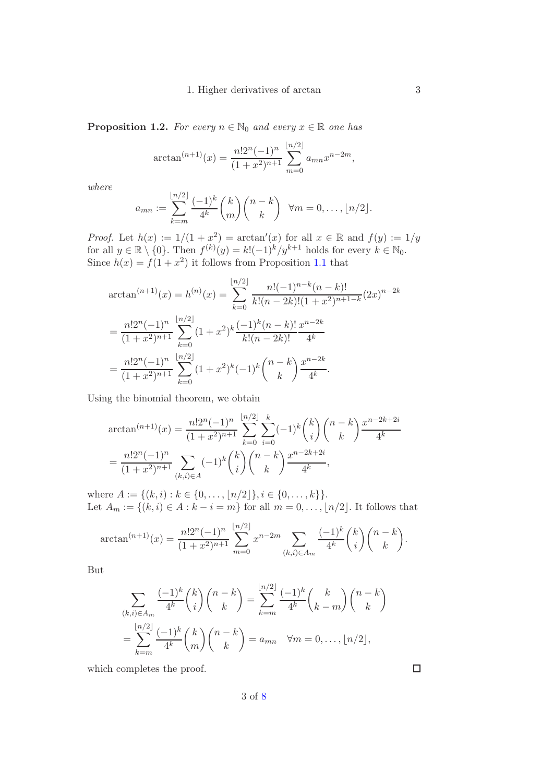#### 1. Higher derivatives of arctan 3

<span id="page-2-0"></span>**Proposition 1.2.** For every  $n \in \mathbb{N}_0$  and every  $x \in \mathbb{R}$  one has

$$
\arctan^{(n+1)}(x) = \frac{n!2^n(-1)^n}{(1+x^2)^{n+1}} \sum_{m=0}^{\lfloor n/2 \rfloor} a_{mn} x^{n-2m},
$$

where

$$
a_{mn} := \sum_{k=m}^{\lfloor n/2 \rfloor} \frac{(-1)^k}{4^k} {k \choose m} {n-k \choose k} \quad \forall m = 0, \dots, \lfloor n/2 \rfloor.
$$

*Proof.* Let  $h(x) := 1/(1 + x^2) = \arctan'(x)$  for all  $x \in \mathbb{R}$  and  $f(y) := 1/y$ for all  $y \in \mathbb{R} \setminus \{0\}$ . Then  $f^{(k)}(y) = k!(-1)^k/y^{k+1}$  holds for every  $k \in \mathbb{N}_0$ . Since  $h(x) = f(1 + x^2)$  it follows from Proposition [1.1](#page-1-2) that

$$
\arctan^{(n+1)}(x) = h^{(n)}(x) = \sum_{k=0}^{\lfloor n/2 \rfloor} \frac{n!(-1)^{n-k}(n-k)!}{k!(n-2k)!(1+x^2)^{n+1-k}} (2x)^{n-2k}
$$

$$
= \frac{n!2^n(-1)^n}{(1+x^2)^{n+1}} \sum_{k=0}^{\lfloor n/2 \rfloor} (1+x^2)^k \frac{(-1)^k(n-k)!}{k!(n-2k)!} \frac{x^{n-2k}}{4^k}
$$

$$
= \frac{n!2^n(-1)^n}{(1+x^2)^{n+1}} \sum_{k=0}^{\lfloor n/2 \rfloor} (1+x^2)^k (-1)^k {n-k \choose k} \frac{x^{n-2k}}{4^k}.
$$

Using the binomial theorem, we obtain

$$
\arctan^{(n+1)}(x) = \frac{n!2^n(-1)^n}{(1+x^2)^{n+1}} \sum_{k=0}^{\lfloor n/2 \rfloor} \sum_{i=0}^k (-1)^k {k \choose i} {n-k \choose k} \frac{x^{n-2k+2i}}{4^k}
$$

$$
= \frac{n!2^n(-1)^n}{(1+x^2)^{n+1}} \sum_{(k,i)\in A} (-1)^k {k \choose i} {n-k \choose k} \frac{x^{n-2k+2i}}{4^k},
$$

where  $A := \{(k, i) : k \in \{0, \ldots, \lfloor n/2 \rfloor\}, i \in \{0, \ldots, k\}\}.$ Let  $A_m := \{(k, i) \in A : k - i = m\}$  for all  $m = 0, \ldots, \lfloor n/2 \rfloor$ . It follows that

$$
\arctan^{(n+1)}(x) = \frac{n!2^n(-1)^n}{(1+x^2)^{n+1}} \sum_{m=0}^{\lfloor n/2 \rfloor} x^{n-2m} \sum_{(k,i) \in A_m} \frac{(-1)^k}{4^k} {k \choose i} {n-k \choose k}.
$$

But

$$
\sum_{\substack{(k,i)\in A_m\\k=m}}\frac{(-1)^k}{4^k}\binom{k}{i}\binom{n-k}{k}=\sum_{k=m}^{\lfloor n/2\rfloor}\frac{(-1)^k}{4^k}\binom{k}{k-m}\binom{n-k}{k}
$$

$$
=\sum_{k=m}^{\lfloor n/2\rfloor}\frac{(-1)^k}{4^k}\binom{k}{m}\binom{n-k}{k}=a_{mn}\quad\forall m=0,\ldots,\lfloor n/2\rfloor,
$$

which completes the proof.

3 of [8](#page-7-1)

 $\Box$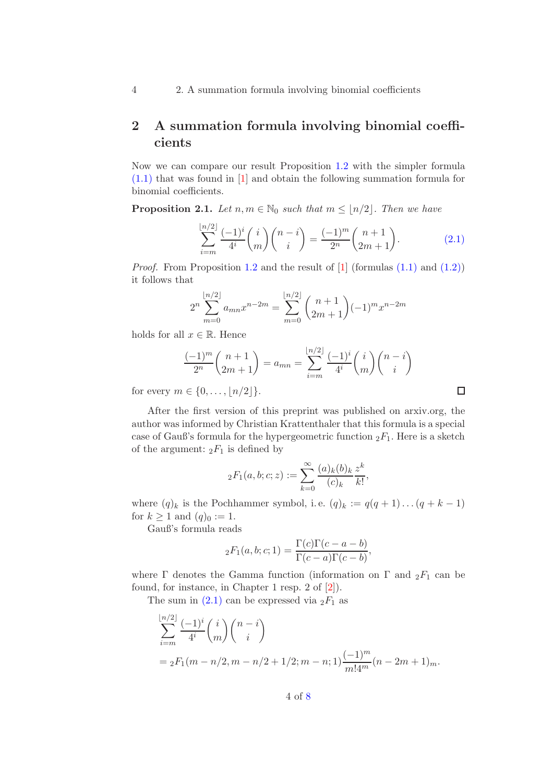4 2. A summation formula involving binomial coefficients

### 2 A summation formula involving binomial coefficients

Now we can compare our result Proposition [1.2](#page-2-0) with the simpler formula [\(1.1\)](#page-0-0) that was found in [\[1\]](#page-6-0) and obtain the following summation formula for binomial coefficients.

<span id="page-3-1"></span>**Proposition 2.1.** Let  $n, m \in \mathbb{N}_0$  such that  $m \leq |n/2|$ . Then we have

<span id="page-3-0"></span>
$$
\sum_{i=m}^{\lfloor n/2 \rfloor} \frac{(-1)^i}{4^i} {i \choose m} {n-i \choose i} = \frac{(-1)^m}{2^n} {n+1 \choose 2m+1}.
$$
 (2.1)

 $\Box$ 

*Proof.* From Proposition [1.2](#page-2-0) and the result of  $[1]$  (formulas  $(1.1)$  and  $(1.2)$ ) it follows that

$$
2^{n} \sum_{m=0}^{\lfloor n/2 \rfloor} a_{mn} x^{n-2m} = \sum_{m=0}^{\lfloor n/2 \rfloor} {n+1 \choose 2m+1} (-1)^{m} x^{n-2m}
$$

holds for all  $x \in \mathbb{R}$ . Hence

$$
\frac{(-1)^m}{2^n} \binom{n+1}{2m+1} = a_{mn} = \sum_{i=m}^{\lfloor n/2 \rfloor} \frac{(-1)^i}{4^i} \binom{i}{m} \binom{n-i}{i}
$$

for every  $m \in \{0, ..., |n/2|\}.$ 

After the first version of this preprint was published on arxiv.org, the author was informed by Christian Krattenthaler that this formula is a special case of Gauß's formula for the hypergeometric function  ${}_2F_1$ . Here is a sketch of the argument:  ${}_2F_1$  is defined by

$$
{}_2F_1(a,b;c;z) := \sum_{k=0}^{\infty} \frac{(a)_k(b)_k}{(c)_k} \frac{z^k}{k!},
$$

where  $(q)_k$  is the Pochhammer symbol, i.e.  $(q)_k := q(q+1)...(q+k-1)$ for  $k \ge 1$  and  $(q)_0 := 1$ .

Gauß's formula reads

$$
{}_2F_1(a,b;c;1) = \frac{\Gamma(c)\Gamma(c-a-b)}{\Gamma(c-a)\Gamma(c-b)},
$$

where  $\Gamma$  denotes the Gamma function (information on  $\Gamma$  and  $_2F_1$  can be found, for instance, in Chapter 1 resp. 2 of [\[2\]](#page-7-3)).

The sum in  $(2.1)$  can be expressed via  $_2F_1$  as

$$
\sum_{i=m}^{\lfloor n/2 \rfloor} \frac{(-1)^i}{4^i} {i \choose m} {n-i \choose i}
$$
  
=  ${}_2F_1(m-n/2, m-n/2+1/2; m-n; 1) \frac{(-1)^m}{m!4^m} (n-2m+1)_m.$ 

4 of [8](#page-7-1)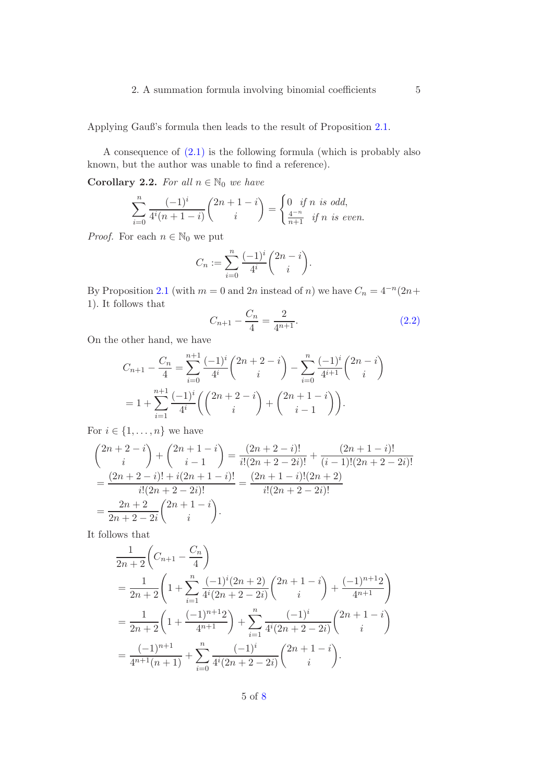### 2. A summation formula involving binomial coefficients 5

Applying Gauß's formula then leads to the result of Proposition [2.1.](#page-3-1)

A consequence of [\(2.1\)](#page-3-0) is the following formula (which is probably also known, but the author was unable to find a reference).

Corollary 2.2. For all  $n \in \mathbb{N}_0$  we have

$$
\sum_{i=0}^{n} \frac{(-1)^i}{4^i (n+1-i)} {2n+1-i \choose i} = \begin{cases} 0 & \text{if } n \text{ is odd,} \\ \frac{4^{-n}}{n+1} & \text{if } n \text{ is even.} \end{cases}
$$

*Proof.* For each  $n \in \mathbb{N}_0$  we put

$$
C_n := \sum_{i=0}^n \frac{(-1)^i}{4^i} {2n-i \choose i}.
$$

By Proposition [2.1](#page-3-1) (with  $m = 0$  and  $2n$  instead of n) we have  $C_n = 4^{-n}(2n+1)$ 1). It follows that

<span id="page-4-0"></span>
$$
C_{n+1} - \frac{C_n}{4} = \frac{2}{4^{n+1}}.\tag{2.2}
$$

On the other hand, we have

$$
C_{n+1} - \frac{C_n}{4} = \sum_{i=0}^{n+1} \frac{(-1)^i}{4^i} {2n+2-i \choose i} - \sum_{i=0}^n \frac{(-1)^i}{4^{i+1}} {2n-i \choose i}
$$
  
=  $1 + \sum_{i=1}^{n+1} \frac{(-1)^i}{4^i} \left( {2n+2-i \choose i} + {2n+1-i \choose i-1} \right).$ 

For  $i \in \{1, \ldots, n\}$  we have

$$
\begin{aligned}\n\binom{2n+2-i}{i} + \binom{2n+1-i}{i-1} &= \frac{(2n+2-i)!}{i!(2n+2-2i)!} + \frac{(2n+1-i)!}{(i-1)!(2n+2-2i)!} \\
&= \frac{(2n+2-i)! + i(2n+1-i)!}{i!(2n+2-2i)!} = \frac{(2n+1-i)!(2n+2)}{i!(2n+2-2i)!} \\
&= \frac{2n+2}{2n+2-2i} \binom{2n+1-i}{i}.\n\end{aligned}
$$

It follows that

$$
\frac{1}{2n+2}\left(C_{n+1}-\frac{C_n}{4}\right)
$$
\n
$$
=\frac{1}{2n+2}\left(1+\sum_{i=1}^n\frac{(-1)^i(2n+2)}{4^i(2n+2-2i)}\binom{2n+1-i}{i}+\frac{(-1)^{n+1}2}{4^{n+1}}\right)
$$
\n
$$
=\frac{1}{2n+2}\left(1+\frac{(-1)^{n+1}2}{4^{n+1}}\right)+\sum_{i=1}^n\frac{(-1)^i}{4^i(2n+2-2i)}\binom{2n+1-i}{i}
$$
\n
$$
=\frac{(-1)^{n+1}}{4^{n+1}(n+1)}+\sum_{i=0}^n\frac{(-1)^i}{4^i(2n+2-2i)}\binom{2n+1-i}{i}.
$$

5 of [8](#page-7-1)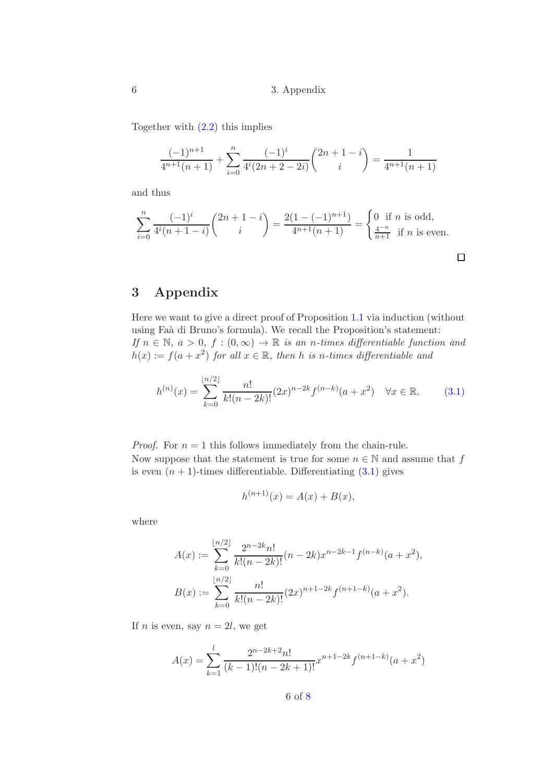Together with  $(2.2)$  this implies

$$
\frac{(-1)^{n+1}}{4^{n+1}(n+1)} + \sum_{i=0}^{n} \frac{(-1)^i}{4^i (2n+2-2i)} {2n+1-i \choose i} = \frac{1}{4^{n+1}(n+1)}
$$

and thus

$$
\sum_{i=0}^{n} \frac{(-1)^i}{4^i (n+1-i)} {2n+1-i \choose i} = \frac{2(1-(-1)^{n+1})}{4^{n+1} (n+1)} = \begin{cases} 0 \text{ if } n \text{ is odd,} \\ \frac{4^{-n}}{n+1} \text{ if } n \text{ is even.} \end{cases}
$$

## 3 Appendix

Here we want to give a direct proof of Proposition [1.1](#page-1-2) via induction (without using Faà di Bruno's formula). We recall the Proposition's statement: If  $n \in \mathbb{N}$ ,  $a > 0$ ,  $f : (0, \infty) \to \mathbb{R}$  is an n-times differentiable function and  $h(x) := f(a + x^2)$  for all  $x \in \mathbb{R}$ , then h is n-times differentiable and

<span id="page-5-0"></span>
$$
h^{(n)}(x) = \sum_{k=0}^{\lfloor n/2 \rfloor} \frac{n!}{k!(n-2k)!} (2x)^{n-2k} f^{(n-k)}(a+x^2) \quad \forall x \in \mathbb{R}.
$$
 (3.1)

*Proof.* For  $n = 1$  this follows immediately from the chain-rule. Now suppose that the statement is true for some  $n \in \mathbb{N}$  and assume that f is even  $(n + 1)$ -times differentiable. Differentiating  $(3.1)$  gives

$$
h^{(n+1)}(x) = A(x) + B(x),
$$

where

$$
A(x) := \sum_{k=0}^{\lfloor n/2 \rfloor} \frac{2^{n-2k} n!}{k! (n-2k)!} (n-2k) x^{n-2k-1} f^{(n-k)}(a+x^2),
$$
  

$$
B(x) := \sum_{k=0}^{\lfloor n/2 \rfloor} \frac{n!}{k! (n-2k)!} (2x)^{n+1-2k} f^{(n+1-k)}(a+x^2).
$$

If *n* is even, say  $n = 2l$ , we get

$$
A(x) = \sum_{k=1}^{l} \frac{2^{n-2k+2}n!}{(k-1)!(n-2k+1)!} x^{n+1-2k} f^{(n+1-k)}(a+x^2)
$$

6 of [8](#page-7-1)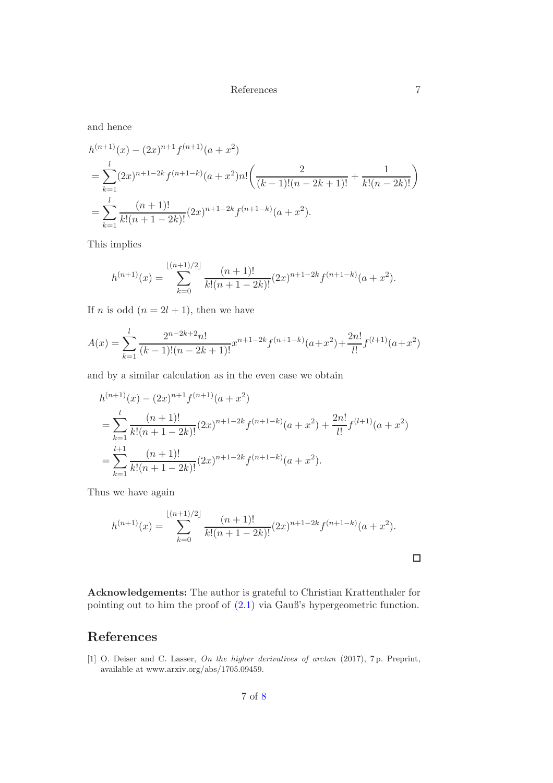References 7

and hence

$$
h^{(n+1)}(x) - (2x)^{n+1} f^{(n+1)}(a+x^2)
$$
  
= 
$$
\sum_{k=1}^{l} (2x)^{n+1-2k} f^{(n+1-k)}(a+x^2) n! \left( \frac{2}{(k-1)!(n-2k+1)!} + \frac{1}{k!(n-2k)!} \right)
$$
  
= 
$$
\sum_{k=1}^{l} \frac{(n+1)!}{k!(n+1-2k)!} (2x)^{n+1-2k} f^{(n+1-k)}(a+x^2).
$$

This implies

$$
h^{(n+1)}(x) = \sum_{k=0}^{\lfloor (n+1)/2 \rfloor} \frac{(n+1)!}{k!(n+1-2k)!} (2x)^{n+1-2k} f^{(n+1-k)}(a+x^2).
$$

If *n* is odd  $(n = 2l + 1)$ , then we have

$$
A(x) = \sum_{k=1}^{l} \frac{2^{n-2k+2}n!}{(k-1)!(n-2k+1)!} x^{n+1-2k} f^{(n+1-k)}(a+x^2) + \frac{2n!}{l!} f^{(l+1)}(a+x^2)
$$

and by a similar calculation as in the even case we obtain

$$
h^{(n+1)}(x) - (2x)^{n+1} f^{(n+1)}(a+x^2)
$$
  
= 
$$
\sum_{k=1}^{l} \frac{(n+1)!}{k!(n+1-2k)!} (2x)^{n+1-2k} f^{(n+1-k)}(a+x^2) + \frac{2n!}{l!} f^{(l+1)}(a+x^2)
$$
  
= 
$$
\sum_{k=1}^{l+1} \frac{(n+1)!}{k!(n+1-2k)!} (2x)^{n+1-2k} f^{(n+1-k)}(a+x^2).
$$

Thus we have again

$$
h^{(n+1)}(x) = \sum_{k=0}^{\lfloor (n+1)/2 \rfloor} \frac{(n+1)!}{k!(n+1-2k)!} (2x)^{n+1-2k} f^{(n+1-k)}(a+x^2).
$$

Acknowledgements: The author is grateful to Christian Krattenthaler for pointing out to him the proof of [\(2.1\)](#page-3-0) via Gauß's hypergeometric function.

### References

<span id="page-6-0"></span>[1] O. Deiser and C. Lasser, On the higher derivatives of arctan (2017), 7p. Preprint, available at www.arxiv.org/abs/1705.09459.